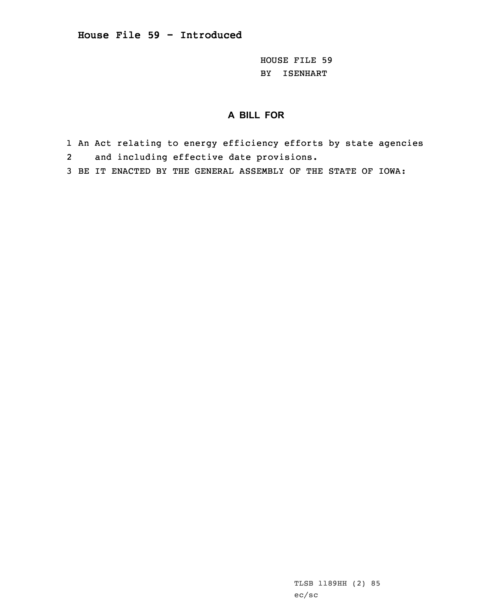HOUSE FILE 59 BY ISENHART

## **A BILL FOR**

- 1 An Act relating to energy efficiency efforts by state agencies 2and including effective date provisions.
- 3 BE IT ENACTED BY THE GENERAL ASSEMBLY OF THE STATE OF IOWA:

TLSB 1189HH (2) 85 ec/sc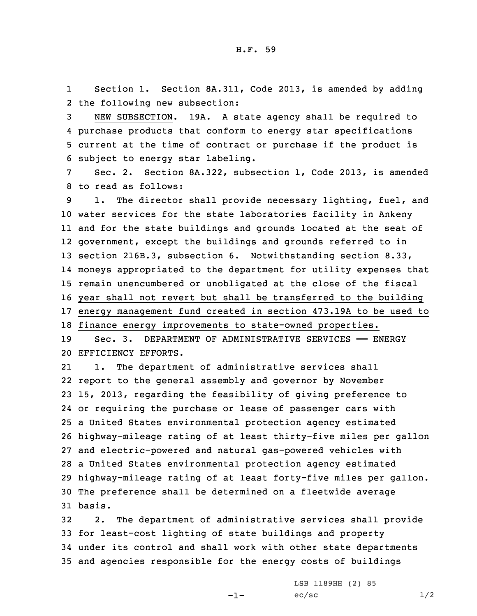1 Section 1. Section 8A.311, Code 2013, is amended by adding 2 the following new subsection:

 NEW SUBSECTION. 19A. <sup>A</sup> state agency shall be required to purchase products that conform to energy star specifications current at the time of contract or purchase if the product is subject to energy star labeling.

7 Sec. 2. Section 8A.322, subsection 1, Code 2013, is amended 8 to read as follows:

9 1. The director shall provide necessary lighting, fuel, and water services for the state laboratories facility in Ankeny and for the state buildings and grounds located at the seat of government, except the buildings and grounds referred to in section 216B.3, subsection 6. Notwithstanding section 8.33, moneys appropriated to the department for utility expenses that remain unencumbered or unobligated at the close of the fiscal year shall not revert but shall be transferred to the building energy management fund created in section 473.19A to be used to finance energy improvements to state-owned properties.

19 Sec. 3. DEPARTMENT OF ADMINISTRATIVE SERVICES —— ENERGY 20 EFFICIENCY EFFORTS.

21 1. The department of administrative services shall report to the general assembly and governor by November 15, 2013, regarding the feasibility of giving preference to or requiring the purchase or lease of passenger cars with <sup>a</sup> United States environmental protection agency estimated highway-mileage rating of at least thirty-five miles per gallon and electric-powered and natural gas-powered vehicles with <sup>a</sup> United States environmental protection agency estimated highway-mileage rating of at least forty-five miles per gallon. The preference shall be determined on <sup>a</sup> fleetwide average 31 basis.

 2. The department of administrative services shall provide for least-cost lighting of state buildings and property under its control and shall work with other state departments and agencies responsible for the energy costs of buildings

-1-

LSB 1189HH (2) 85  $ec/sec$   $1/2$